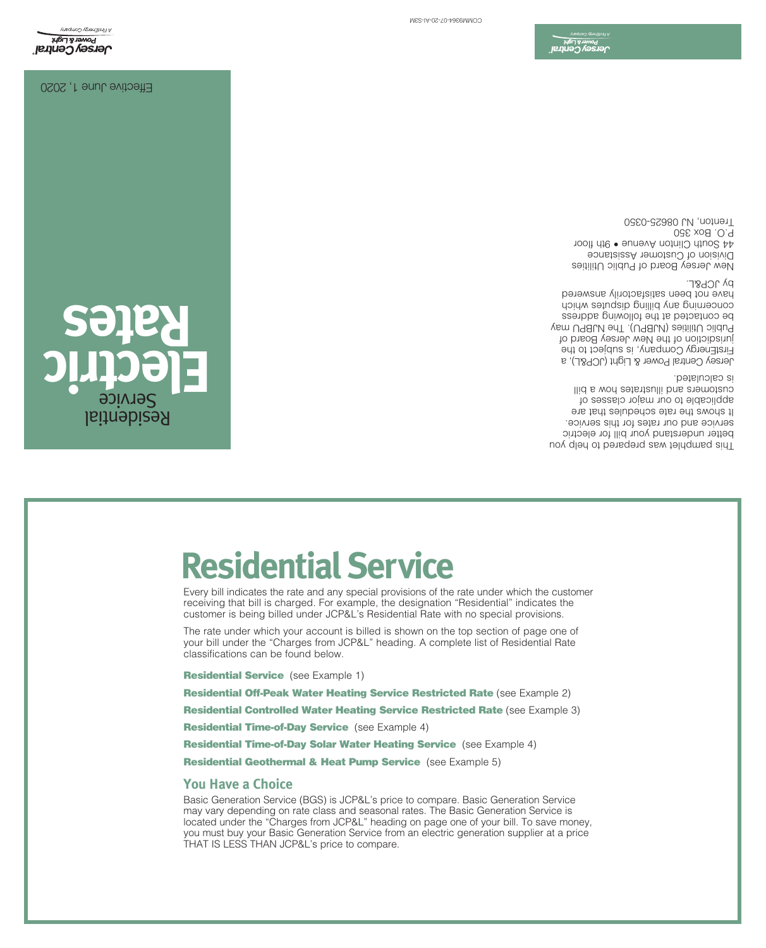Basic Generation Service (BGS) is JCP&L's price to compare. Basic Generation Service may vary depending on rate class and seasonal rates. The Basic Generation Service is located under the "Charges from JCP&L" heading on page one of your bill. To save money, you must buy your Basic Generation Service from an electric generation supplier at a price THAT IS LESS THAN JCP&L's price to compare.

Residential Geothermal & Heat Pump Service (see Example 5)

Residential Time-of-Day Solar Water Heating Service (see Example 4)

Residential Time-of-Day Service (see Example 4)

**Residential Controlled Water Heating Service Restricted Rate (see Example 3)** 

Residential Off-Peak Water Heating Service Restricted Rate (see Example 2)

**Residential Service** (see Example 1)

**You Have a Choice**

The rate under which your account is billed is shown on the top section of page one of your bill under the "Charges from JCP&L" heading. A complete list of Residential Rate classifications can be found below.

Every bill indicates the rate and any special provisions of the rate under which the customer receiving that bill is charged. For example, the designation "Residential" indicates the customer is being billed under JCP&L's Residential Rate with no special provisions.

# **Residential Service**

**Electric Rates** Residential Service

This pamphlet was prepared to help you better understand your bill for electric service and our rates for this service. It shows the rate schedules that are applicable to our major classes of customers and illustrates how a bill is calculated.

Jersey Central Power & Light (JCP&L), a FirstEnergy Company, is subject to the jurisdiction of the New Jersey Board of Public Utilities (NJBPU). The NJBPU may contacted at the following address be concerning any pilling painting which have not been satisfactorily answered by JCP&L.

New Jersey Board of Public Utilities Division of Customer Assistance 44 South Clinton Avenue • 9th floor P.O. Box 350 Trenton, NJ 08625-0350

D**ersey Centra**<br>J**ersey Centra** 

Effective June 1, 2020